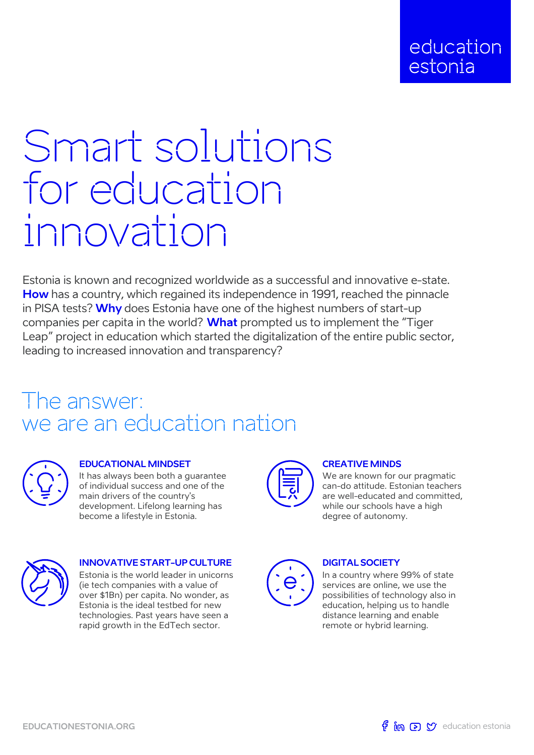

# Smart solutions for education innovation

Estonia is known and recognized worldwide as a successful and innovative e-state. **How** has a country, which regained its independence in 1991, reached the pinnacle in PISA tests? **Why** does Estonia have one of the highest numbers of start-up companies per capita in the world? **What** prompted us to implement the "Tiger Leap" project in education which started the digitalization of the entire public sector, leading to increased innovation and transparency?

### The answer: we are an education nation



#### **EDUCATIONAL MINDSET**

It has always been both a guarantee of individual success and one of the main drivers of the country's development. Lifelong learning has become a lifestyle in Estonia.



#### **CREATIVE MINDS**

We are known for our pragmatic can-do attitude. Estonian teachers are well-educated and committed, while our schools have a high degree of autonomy.



**INNOVATIVE START-UP CULTURE** Estonia is the world leader in unicorns (ie tech companies with a value of over \$1Bn) per capita. No wonder, as Estonia is the ideal testbed for new technologies. Past years have seen a rapid growth in the EdTech sector.



#### **DIGITAL SOCIETY**

In a country where 99% of state services are online, we use the possibilities of technology also in education, helping us to handle distance learning and enable remote or hybrid learning.